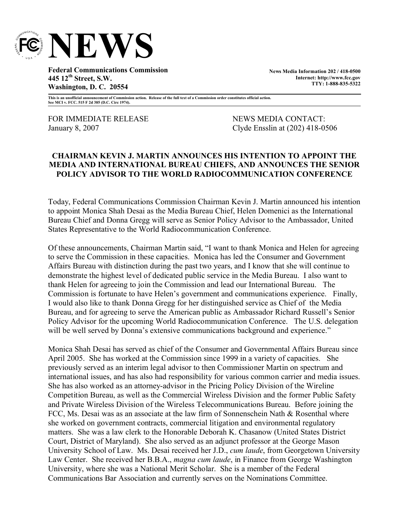

**Federal Communications Commission 445 12th Street, S.W. Washington, D. C. 20554**

**News Media Information 202 / 418-0500 Internet: http://www.fcc.gov TTY: 1-888-835-5322**

**This is an unofficial announcement of Commission action. Release of the full text of a Commission order constitutes official action. See MCI v. FCC. 515 F 2d 385 (D.C. Circ 1974).**

FOR IMMEDIATE RELEASE NEWS MEDIA CONTACT:

January 8, 2007 Clyde Ensslin at (202) 418-0506

## **CHAIRMAN KEVIN J. MARTIN ANNOUNCES HIS INTENTION TO APPOINT THE MEDIA AND INTERNATIONAL BUREAU CHIEFS, AND ANNOUNCES THE SENIOR POLICY ADVISOR TO THE WORLD RADIOCOMMUNICATION CONFERENCE**

Today, Federal Communications Commission Chairman Kevin J. Martin announced his intention to appoint Monica Shah Desai as the Media Bureau Chief, Helen Domenici as the International Bureau Chief and Donna Gregg will serve as Senior Policy Advisor to the Ambassador, United States Representative to the World Radiocommunication Conference.

Of these announcements, Chairman Martin said, "I want to thank Monica and Helen for agreeing to serve the Commission in these capacities. Monica has led the Consumer and Government Affairs Bureau with distinction during the past two years, and I know that she will continue to demonstrate the highest level of dedicated public service in the Media Bureau. I also want to thank Helen for agreeing to join the Commission and lead our International Bureau. The Commission is fortunate to have Helen's government and communications experience. Finally, I would also like to thank Donna Gregg for her distinguished service as Chief of the Media Bureau, and for agreeing to serve the American public as Ambassador Richard Russell's Senior Policy Advisor for the upcoming World Radiocommunication Conference. The U.S. delegation will be well served by Donna's extensive communications background and experience."

Monica Shah Desai has served as chief of the Consumer and Governmental Affairs Bureau since April 2005. She has worked at the Commission since 1999 in a variety of capacities. She previously served as an interim legal advisor to then Commissioner Martin on spectrum and international issues, and has also had responsibility for various common carrier and media issues. She has also worked as an attorney-advisor in the Pricing Policy Division of the Wireline Competition Bureau, as well as the Commercial Wireless Division and the former Public Safety and Private Wireless Division of the Wireless Telecommunications Bureau. Before joining the FCC, Ms. Desai was as an associate at the law firm of Sonnenschein Nath & Rosenthal where she worked on government contracts, commercial litigation and environmental regulatory matters. She was a law clerk to the Honorable Deborah K. Chasanow (United States District Court, District of Maryland). She also served as an adjunct professor at the George Mason University School of Law. Ms. Desai received her J.D., *cum laude*, from Georgetown University Law Center. She received her B.B.A., *magna cum laude*, in Finance from George Washington University, where she was a National Merit Scholar. She is a member of the Federal Communications Bar Association and currently serves on the Nominations Committee.